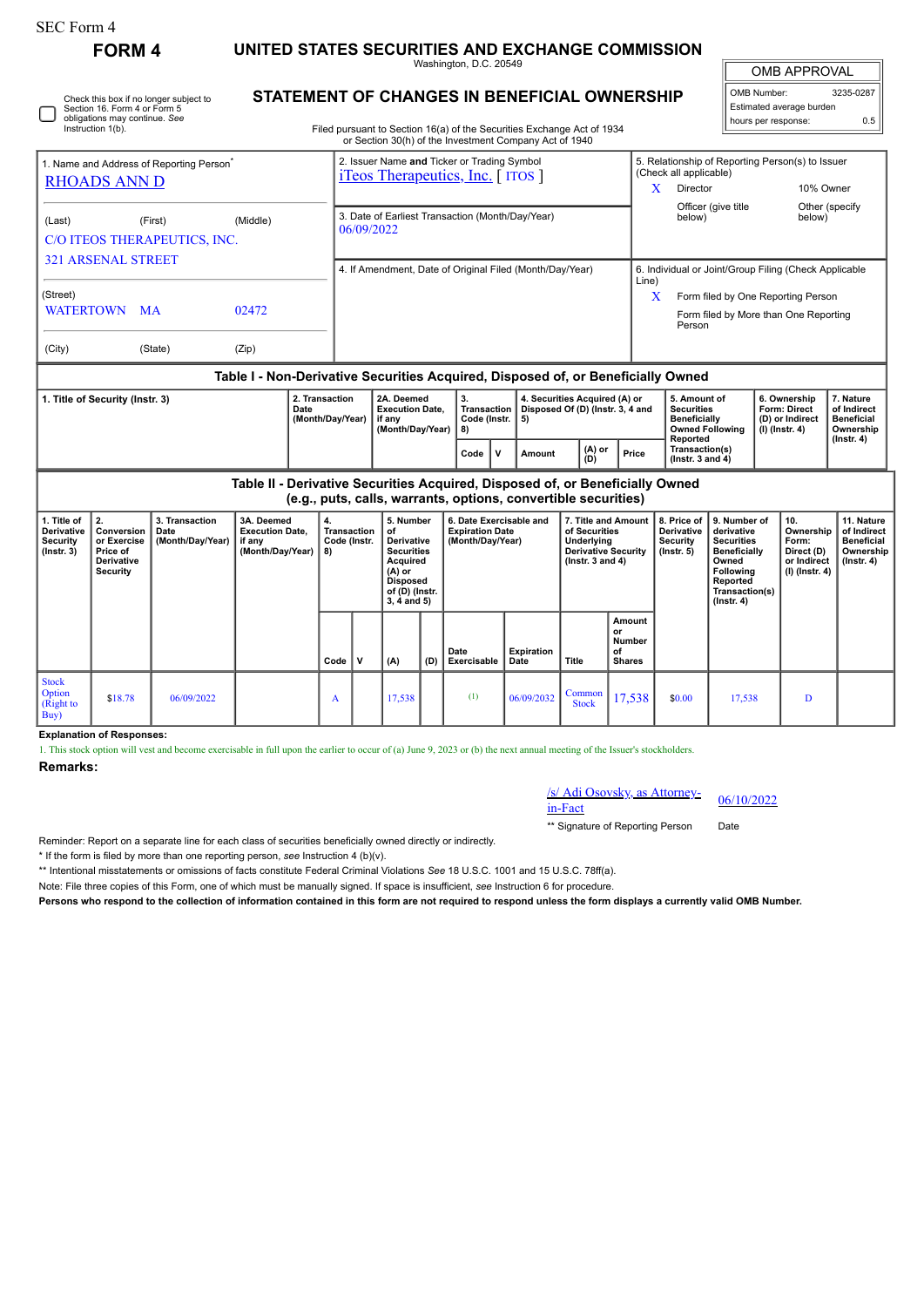| SEC Form 4                                                                    |                                                                                                                                                 |                                              |                                                                                                                                  |                                                 |                                                                                        |                                                                                                                                |             |                                                                       |                           |                                                                                                            |                                                      |                                                                                                           |                                                                                                                                                       |                                                               |                                                                            |                                                                                 |  |
|-------------------------------------------------------------------------------|-------------------------------------------------------------------------------------------------------------------------------------------------|----------------------------------------------|----------------------------------------------------------------------------------------------------------------------------------|-------------------------------------------------|----------------------------------------------------------------------------------------|--------------------------------------------------------------------------------------------------------------------------------|-------------|-----------------------------------------------------------------------|---------------------------|------------------------------------------------------------------------------------------------------------|------------------------------------------------------|-----------------------------------------------------------------------------------------------------------|-------------------------------------------------------------------------------------------------------------------------------------------------------|---------------------------------------------------------------|----------------------------------------------------------------------------|---------------------------------------------------------------------------------|--|
|                                                                               | <b>FORM 4</b>                                                                                                                                   |                                              | UNITED STATES SECURITIES AND EXCHANGE COMMISSION<br>Washington, D.C. 20549                                                       |                                                 |                                                                                        |                                                                                                                                |             |                                                                       |                           |                                                                                                            |                                                      |                                                                                                           |                                                                                                                                                       |                                                               | <b>OMB APPROVAL</b>                                                        |                                                                                 |  |
|                                                                               | Check this box if no longer subject to<br>Section 16. Form 4 or Form 5<br>obligations may continue. See<br>Instruction 1(b).                    | STATEMENT OF CHANGES IN BENEFICIAL OWNERSHIP | Filed pursuant to Section 16(a) of the Securities Exchange Act of 1934<br>or Section 30(h) of the Investment Company Act of 1940 |                                                 |                                                                                        |                                                                                                                                | OMB Number: | Estimated average burden<br>hours per response:                       | 3235-0287<br>0.5          |                                                                                                            |                                                      |                                                                                                           |                                                                                                                                                       |                                                               |                                                                            |                                                                                 |  |
| 1. Name and Address of Reporting Person <sup>®</sup><br><b>RHOADS ANN D</b>   |                                                                                                                                                 |                                              |                                                                                                                                  |                                                 | 2. Issuer Name and Ticker or Trading Symbol<br><i>i</i> Teos Therapeutics, Inc. [ITOS] |                                                                                                                                |             |                                                                       |                           |                                                                                                            |                                                      | (Check all applicable)<br>Director<br>X                                                                   |                                                                                                                                                       | 5. Relationship of Reporting Person(s) to Issuer<br>10% Owner |                                                                            |                                                                                 |  |
| (Last)                                                                        |                                                                                                                                                 | (First)<br>C/O ITEOS THERAPEUTICS, INC.      | (Middle)                                                                                                                         |                                                 | 3. Date of Earliest Transaction (Month/Day/Year)<br>06/09/2022                         |                                                                                                                                |             |                                                                       |                           |                                                                                                            |                                                      | Officer (give title<br>Other (specify<br>below)<br>below)                                                 |                                                                                                                                                       |                                                               |                                                                            |                                                                                 |  |
| <b>321 ARSENAL STREET</b><br>(Street)                                         |                                                                                                                                                 |                                              |                                                                                                                                  |                                                 | 4. If Amendment, Date of Original Filed (Month/Day/Year)                               |                                                                                                                                |             |                                                                       |                           |                                                                                                            |                                                      | 6. Individual or Joint/Group Filing (Check Applicable<br>Line)<br>X<br>Form filed by One Reporting Person |                                                                                                                                                       |                                                               |                                                                            |                                                                                 |  |
| (City)                                                                        | WATERTOWN MA<br>(State)                                                                                                                         | 02472<br>(Zip)                               |                                                                                                                                  | Form filed by More than One Reporting<br>Person |                                                                                        |                                                                                                                                |             |                                                                       |                           |                                                                                                            |                                                      |                                                                                                           |                                                                                                                                                       |                                                               |                                                                            |                                                                                 |  |
|                                                                               |                                                                                                                                                 |                                              | Table I - Non-Derivative Securities Acquired, Disposed of, or Beneficially Owned                                                 |                                                 |                                                                                        |                                                                                                                                |             |                                                                       |                           |                                                                                                            |                                                      |                                                                                                           |                                                                                                                                                       |                                                               |                                                                            |                                                                                 |  |
| 2. Transaction<br>1. Title of Security (Instr. 3)<br>Date<br>(Month/Day/Year) |                                                                                                                                                 |                                              |                                                                                                                                  |                                                 |                                                                                        | 2A. Deemed<br><b>Execution Date,</b><br>if any<br>(Month/Day/Year)                                                             |             | 3.<br><b>Transaction</b><br>Code (Instr.<br>5)<br>8)                  |                           | 4. Securities Acquired (A) or<br>Disposed Of (D) (Instr. 3, 4 and                                          |                                                      | 5. Amount of<br><b>Securities</b><br><b>Beneficially</b><br>Reported                                      | <b>Owned Following</b>                                                                                                                                |                                                               | 6. Ownership<br>Form: Direct<br>(D) or Indirect<br>$(I)$ (Instr. 4)        | 7. Nature<br>of Indirect<br><b>Beneficial</b><br>Ownership<br>$($ lnstr. 4 $)$  |  |
|                                                                               |                                                                                                                                                 |                                              |                                                                                                                                  |                                                 |                                                                                        |                                                                                                                                |             | Code<br>V                                                             | Amount                    | (A) or<br>(D)                                                                                              | Price                                                | Transaction(s)<br>( $lnstr. 3 and 4$ )                                                                    |                                                                                                                                                       |                                                               |                                                                            |                                                                                 |  |
|                                                                               | Table II - Derivative Securities Acquired, Disposed of, or Beneficially Owned<br>(e.g., puts, calls, warrants, options, convertible securities) |                                              |                                                                                                                                  |                                                 |                                                                                        |                                                                                                                                |             |                                                                       |                           |                                                                                                            |                                                      |                                                                                                           |                                                                                                                                                       |                                                               |                                                                            |                                                                                 |  |
| 1. Title of<br><b>Derivative</b><br><b>Security</b><br>$($ Instr. 3 $)$       | 2.<br>Conversion<br>or Exercise<br>Price of<br>Derivative<br>Security                                                                           | 3. Transaction<br>Date<br>(Month/Day/Year)   | 3A. Deemed<br><b>Execution Date.</b><br>if any<br>(Month/Day/Year)                                                               | 4.<br>8)                                        | Transaction<br>Code (Instr.                                                            | 5. Number<br>of<br>Derivative<br><b>Securities</b><br>Acquired<br>$(A)$ or<br><b>Disposed</b><br>of (D) (Instr.<br>3, 4 and 5) |             | 6. Date Exercisable and<br><b>Expiration Date</b><br>(Month/Day/Year) |                           | 7. Title and Amount<br>of Securities<br>Underlying<br><b>Derivative Security</b><br>$($ lnstr. 3 and 4 $)$ |                                                      | 8. Price of<br><b>Derivative</b><br>Security<br>$($ lnstr. 5 $)$                                          | 9. Number of<br>derivative<br><b>Securities</b><br><b>Beneficially</b><br>Owned<br><b>Following</b><br>Reported<br>Transaction(s)<br>$($ Instr. 4 $)$ |                                                               | 10.<br>Ownership<br>Form:<br>Direct (D)<br>or Indirect<br>$(I)$ (Instr. 4) | 11. Nature<br>of Indirect<br><b>Beneficial</b><br>Ownership<br>$($ Instr. 4 $)$ |  |
|                                                                               |                                                                                                                                                 |                                              |                                                                                                                                  | Code                                            | $\mathsf{v}$                                                                           | (A)                                                                                                                            | (D)         | Date<br>Exercisable                                                   | <b>Expiration</b><br>Date | <b>Title</b>                                                                                               | Amount<br>or<br><b>Number</b><br>οf<br><b>Shares</b> |                                                                                                           |                                                                                                                                                       |                                                               |                                                                            |                                                                                 |  |
| <b>Stock</b><br>Option<br>(Right to<br>Buv                                    | \$18.78                                                                                                                                         | 06/09/2022                                   |                                                                                                                                  | A                                               |                                                                                        | 17,538                                                                                                                         |             | (1)                                                                   | 06/09/2032                | Common<br><b>Stock</b>                                                                                     | 17,538                                               | \$0.00                                                                                                    | 17,538                                                                                                                                                |                                                               | D                                                                          |                                                                                 |  |

**Explanation of Responses:**

1. This stock option will vest and become exercisable in full upon the earlier to occur of (a) June 9, 2023 or (b) the next annual meeting of the Issuer's stockholders.

## **Remarks:**

/s/ Adi Osovsky, as Attorney-in-Fact 06/10/2022

\*\* Signature of Reporting Person Date

Reminder: Report on a separate line for each class of securities beneficially owned directly or indirectly.

\* If the form is filed by more than one reporting person, *see* Instruction 4 (b)(v).

\*\* Intentional misstatements or omissions of facts constitute Federal Criminal Violations *See* 18 U.S.C. 1001 and 15 U.S.C. 78ff(a).

Note: File three copies of this Form, one of which must be manually signed. If space is insufficient, *see* Instruction 6 for procedure.

**Persons who respond to the collection of information contained in this form are not required to respond unless the form displays a currently valid OMB Number.**